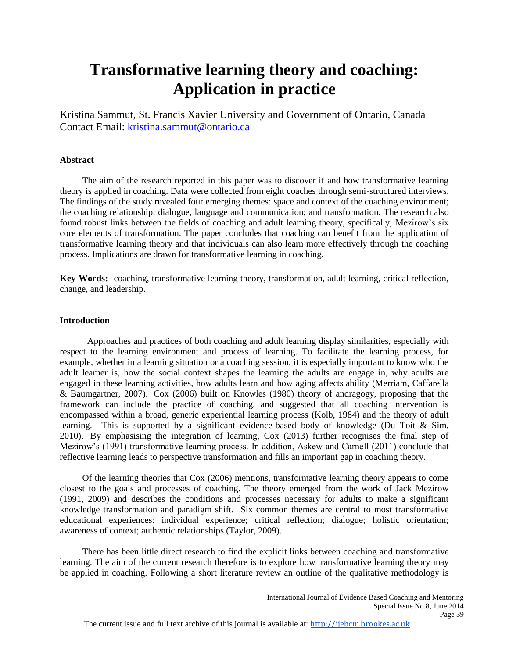# **Transformative learning theory and coaching: Application in practice**

Kristina Sammut, St. Francis Xavier University and Government of Ontario, Canada Contact Email: [kristina.sammut@ontario.ca](mailto:kristina.sammut@ontario.ca)

## **Abstract**

The aim of the research reported in this paper was to discover if and how transformative learning theory is applied in coaching. Data were collected from eight coaches through semi-structured interviews. The findings of the study revealed four emerging themes: space and context of the coaching environment; the coaching relationship; dialogue, language and communication; and transformation. The research also found robust links between the fields of coaching and adult learning theory, specifically, Mezirow's six core elements of transformation. The paper concludes that coaching can benefit from the application of transformative learning theory and that individuals can also learn more effectively through the coaching process. Implications are drawn for transformative learning in coaching.

**Key Words:** coaching, transformative learning theory, transformation, adult learning, critical reflection, change, and leadership.

#### **Introduction**

Approaches and practices of both coaching and adult learning display similarities, especially with respect to the learning environment and process of learning. To facilitate the learning process, for example, whether in a learning situation or a coaching session, it is especially important to know who the adult learner is, how the social context shapes the learning the adults are engage in, why adults are engaged in these learning activities, how adults learn and how aging affects ability (Merriam, Caffarella & Baumgartner, 2007). Cox (2006) built on Knowles (1980) theory of andragogy, proposing that the framework can include the practice of coaching, and suggested that all coaching intervention is encompassed within a broad, generic experiential learning process (Kolb, 1984) and the theory of adult learning. This is supported by a significant evidence-based body of knowledge (Du Toit & Sim, 2010). By emphasising the integration of learning, Cox (2013) further recognises the final step of Mezirow's (1991) transformative learning process. In addition, Askew and Carnell (2011) conclude that reflective learning leads to perspective transformation and fills an important gap in coaching theory.

Of the learning theories that Cox (2006) mentions, transformative learning theory appears to come closest to the goals and processes of coaching. The theory emerged from the work of Jack Mezirow (1991, 2009) and describes the conditions and processes necessary for adults to make a significant knowledge transformation and paradigm shift. Six common themes are central to most transformative educational experiences: individual experience; critical reflection; dialogue; holistic orientation; awareness of context; authentic relationships (Taylor, 2009).

There has been little direct research to find the explicit links between coaching and transformative learning. The aim of the current research therefore is to explore how transformative learning theory may be applied in coaching. Following a short literature review an outline of the qualitative methodology is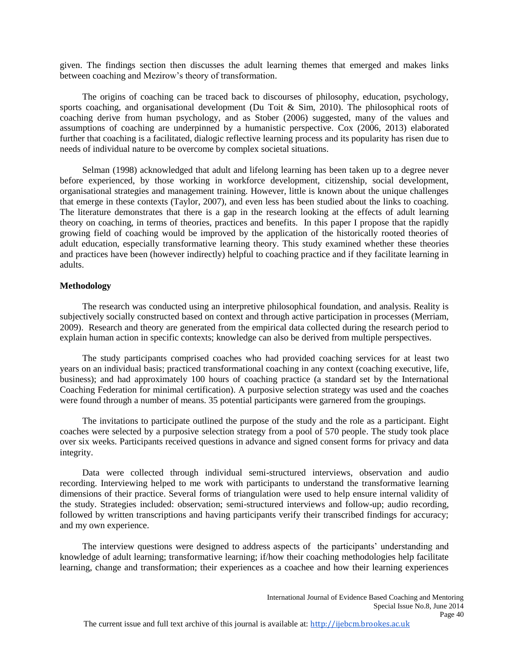given. The findings section then discusses the adult learning themes that emerged and makes links between coaching and Mezirow's theory of transformation.

The origins of coaching can be traced back to discourses of philosophy, education, psychology, sports coaching, and organisational development (Du Toit  $\&$  Sim, 2010). The philosophical roots of coaching derive from human psychology, and as Stober (2006) suggested, many of the values and assumptions of coaching are underpinned by a humanistic perspective. Cox (2006, 2013) elaborated further that coaching is a facilitated, dialogic reflective learning process and its popularity has risen due to needs of individual nature to be overcome by complex societal situations.

Selman (1998) acknowledged that adult and lifelong learning has been taken up to a degree never before experienced, by those working in workforce development, citizenship, social development, organisational strategies and management training. However, little is known about the unique challenges that emerge in these contexts (Taylor, 2007), and even less has been studied about the links to coaching. The literature demonstrates that there is a gap in the research looking at the effects of adult learning theory on coaching, in terms of theories, practices and benefits. In this paper I propose that the rapidly growing field of coaching would be improved by the application of the historically rooted theories of adult education, especially transformative learning theory. This study examined whether these theories and practices have been (however indirectly) helpful to coaching practice and if they facilitate learning in adults.

#### **Methodology**

The research was conducted using an interpretive philosophical foundation, and analysis. Reality is subjectively socially constructed based on context and through active participation in processes (Merriam, 2009). Research and theory are generated from the empirical data collected during the research period to explain human action in specific contexts; knowledge can also be derived from multiple perspectives.

The study participants comprised coaches who had provided coaching services for at least two years on an individual basis; practiced transformational coaching in any context (coaching executive, life, business); and had approximately 100 hours of coaching practice (a standard set by the International Coaching Federation for minimal certification). A purposive selection strategy was used and the coaches were found through a number of means. 35 potential participants were garnered from the groupings.

The invitations to participate outlined the purpose of the study and the role as a participant. Eight coaches were selected by a purposive selection strategy from a pool of 570 people. The study took place over six weeks. Participants received questions in advance and signed consent forms for privacy and data integrity.

Data were collected through individual semi-structured interviews, observation and audio recording. Interviewing helped to me work with participants to understand the transformative learning dimensions of their practice. Several forms of triangulation were used to help ensure internal validity of the study. Strategies included: observation; semi-structured interviews and follow-up; audio recording, followed by written transcriptions and having participants verify their transcribed findings for accuracy; and my own experience.

The interview questions were designed to address aspects of the participants' understanding and knowledge of adult learning; transformative learning; if/how their coaching methodologies help facilitate learning, change and transformation; their experiences as a coachee and how their learning experiences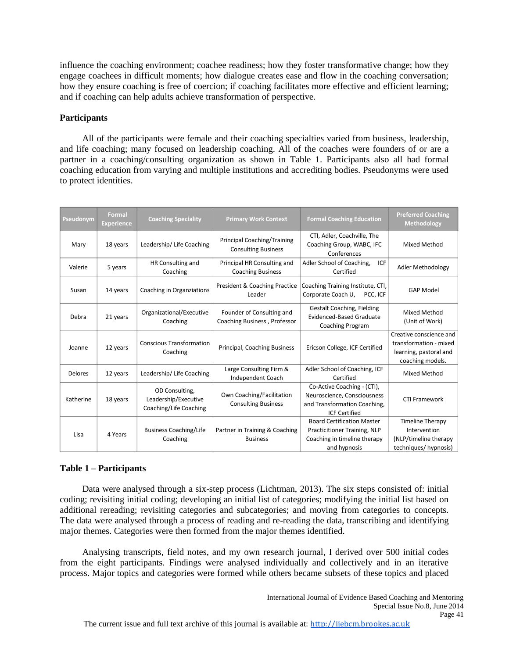influence the coaching environment; coachee readiness; how they foster transformative change; how they engage coachees in difficult moments; how dialogue creates ease and flow in the coaching conversation; how they ensure coaching is free of coercion; if coaching facilitates more effective and efficient learning; and if coaching can help adults achieve transformation of perspective.

## **Participants**

All of the participants were female and their coaching specialties varied from business, leadership, and life coaching; many focused on leadership coaching. All of the coaches were founders of or are a partner in a coaching/consulting organization as shown in Table 1. Participants also all had formal coaching education from varying and multiple institutions and accrediting bodies. Pseudonyms were used to protect identities.

| Pseudonym | <b>Formal</b><br><b>Experience</b> | <b>Coaching Speciality</b>                                       | <b>Primary Work Context</b>                                      | <b>Formal Coaching Education</b>                                                                                   | <b>Preferred Coaching</b><br><b>Methodology</b>                                                 |
|-----------|------------------------------------|------------------------------------------------------------------|------------------------------------------------------------------|--------------------------------------------------------------------------------------------------------------------|-------------------------------------------------------------------------------------------------|
| Mary      | 18 years                           | Leadership/Life Coaching                                         | <b>Principal Coaching/Training</b><br><b>Consulting Business</b> | CTI, Adler, Coachville, The<br>Coaching Group, WABC, IFC<br>Conferences                                            | Mixed Method                                                                                    |
| Valerie   | 5 years                            | HR Consulting and<br>Coaching                                    | Principal HR Consulting and<br><b>Coaching Business</b>          | Adler School of Coaching,<br>ICF<br>Certified                                                                      | Adler Methodology                                                                               |
| Susan     | 14 years                           | Coaching in Organziations                                        | President & Coaching Practice<br>Leader                          | Coaching Training Institute, CTI,<br>Corporate Coach U,<br>PCC. ICF                                                | <b>GAP Model</b>                                                                                |
| Debra     | 21 years                           | Organizational/Executive<br>Coaching                             | Founder of Consulting and<br>Coaching Business, Professor        | <b>Gestalt Coaching, Fielding</b><br>Evidenced-Based Graduate<br>Coaching Program                                  | <b>Mixed Method</b><br>(Unit of Work)                                                           |
| Joanne    | 12 years                           | <b>Conscious Transformation</b><br>Coaching                      | Principal, Coaching Business                                     | Ericson College, ICF Certified                                                                                     | Creative conscience and<br>transformation - mixed<br>learning, pastoral and<br>coaching models. |
| Delores   | 12 years                           | Leadership/Life Coaching                                         | Large Consulting Firm &<br>Independent Coach                     | Adler School of Coaching, ICF<br>Certified                                                                         | <b>Mixed Method</b>                                                                             |
| Katherine | 18 years                           | OD Consulting,<br>Leadership/Executive<br>Coaching/Life Coaching | Own Coaching/Facilitation<br><b>Consulting Business</b>          | Co-Active Coaching - (CTI),<br>Neuroscience, Consciousness<br>and Transformation Coaching,<br><b>ICF Certified</b> | <b>CTI Framework</b>                                                                            |
| Lisa      | 4 Years                            | <b>Business Coaching/Life</b><br>Coaching                        | Partner in Training & Coaching<br><b>Business</b>                | <b>Board Certification Master</b><br>Practicitioner Training, NLP<br>Coaching in timeline therapy<br>and hypnosis  | <b>Timeline Therapy</b><br>Intervention<br>(NLP/timeline therapy<br>techniques/hypnosis)        |

# **Table 1 – Participants**

Data were analysed through a six-step process (Lichtman, 2013). The six steps consisted of: initial coding; revisiting initial coding; developing an initial list of categories; modifying the initial list based on additional rereading; revisiting categories and subcategories; and moving from categories to concepts. The data were analysed through a process of reading and re-reading the data, transcribing and identifying major themes. Categories were then formed from the major themes identified.

Analysing transcripts, field notes, and my own research journal, I derived over 500 initial codes from the eight participants. Findings were analysed individually and collectively and in an iterative process. Major topics and categories were formed while others became subsets of these topics and placed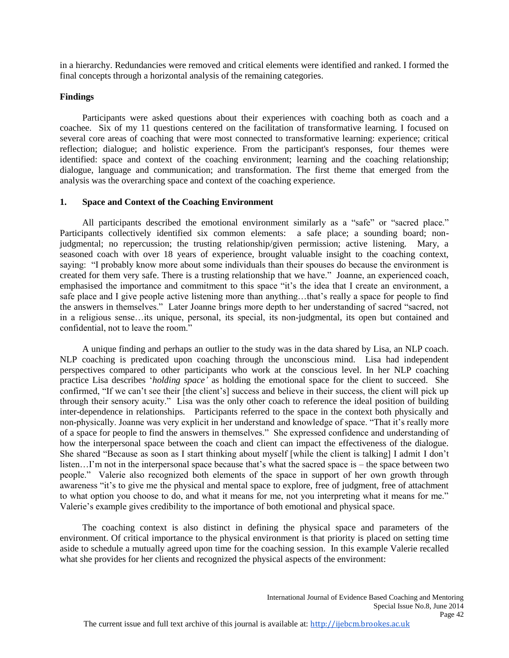in a hierarchy. Redundancies were removed and critical elements were identified and ranked. I formed the final concepts through a horizontal analysis of the remaining categories.

## **Findings**

Participants were asked questions about their experiences with coaching both as coach and a coachee. Six of my 11 questions centered on the facilitation of transformative learning. I focused on several core areas of coaching that were most connected to transformative learning: experience; critical reflection; dialogue; and holistic experience. From the participant's responses, four themes were identified: space and context of the coaching environment; learning and the coaching relationship; dialogue, language and communication; and transformation. The first theme that emerged from the analysis was the overarching space and context of the coaching experience.

## **1. Space and Context of the Coaching Environment**

All participants described the emotional environment similarly as a "safe" or "sacred place." Participants collectively identified six common elements: a safe place; a sounding board; nonjudgmental; no repercussion; the trusting relationship/given permission; active listening. Mary, a seasoned coach with over 18 years of experience, brought valuable insight to the coaching context, saying: "I probably know more about some individuals than their spouses do because the environment is created for them very safe. There is a trusting relationship that we have." Joanne, an experienced coach, emphasised the importance and commitment to this space "it's the idea that I create an environment, a safe place and I give people active listening more than anything…that's really a space for people to find the answers in themselves." Later Joanne brings more depth to her understanding of sacred "sacred, not in a religious sense…its unique, personal, its special, its non-judgmental, its open but contained and confidential, not to leave the room."

A unique finding and perhaps an outlier to the study was in the data shared by Lisa, an NLP coach. NLP coaching is predicated upon coaching through the unconscious mind. Lisa had independent perspectives compared to other participants who work at the conscious level. In her NLP coaching practice Lisa describes '*holding space'* as holding the emotional space for the client to succeed. She confirmed, "If we can't see their [the client's] success and believe in their success, the client will pick up through their sensory acuity." Lisa was the only other coach to reference the ideal position of building inter-dependence in relationships. Participants referred to the space in the context both physically and non-physically. Joanne was very explicit in her understand and knowledge of space. "That it's really more of a space for people to find the answers in themselves." She expressed confidence and understanding of how the interpersonal space between the coach and client can impact the effectiveness of the dialogue. She shared "Because as soon as I start thinking about myself [while the client is talking] I admit I don't listen…I'm not in the interpersonal space because that's what the sacred space is – the space between two people." Valerie also recognized both elements of the space in support of her own growth through awareness "it's to give me the physical and mental space to explore, free of judgment, free of attachment to what option you choose to do, and what it means for me, not you interpreting what it means for me." Valerie's example gives credibility to the importance of both emotional and physical space.

The coaching context is also distinct in defining the physical space and parameters of the environment. Of critical importance to the physical environment is that priority is placed on setting time aside to schedule a mutually agreed upon time for the coaching session. In this example Valerie recalled what she provides for her clients and recognized the physical aspects of the environment: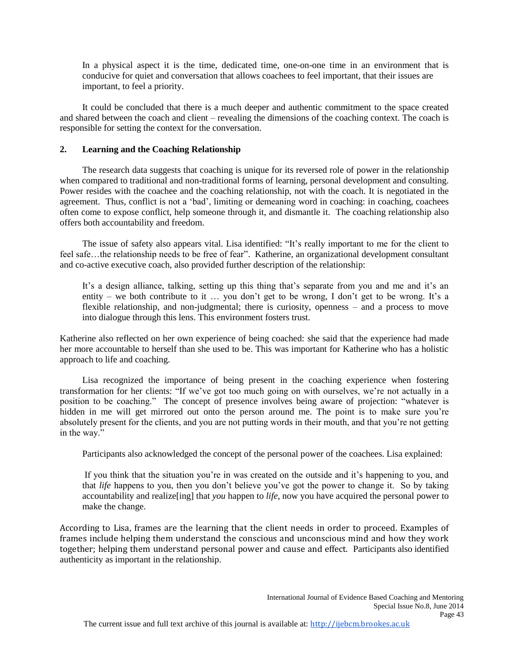In a physical aspect it is the time, dedicated time, one-on-one time in an environment that is conducive for quiet and conversation that allows coachees to feel important, that their issues are important, to feel a priority.

It could be concluded that there is a much deeper and authentic commitment to the space created and shared between the coach and client – revealing the dimensions of the coaching context. The coach is responsible for setting the context for the conversation.

## **2. Learning and the Coaching Relationship**

The research data suggests that coaching is unique for its reversed role of power in the relationship when compared to traditional and non-traditional forms of learning, personal development and consulting. Power resides with the coachee and the coaching relationship, not with the coach. It is negotiated in the agreement. Thus, conflict is not a 'bad', limiting or demeaning word in coaching: in coaching, coachees often come to expose conflict, help someone through it, and dismantle it. The coaching relationship also offers both accountability and freedom.

The issue of safety also appears vital. Lisa identified: "It's really important to me for the client to feel safe...the relationship needs to be free of fear". Katherine, an organizational development consultant and co-active executive coach, also provided further description of the relationship:

It's a design alliance, talking, setting up this thing that's separate from you and me and it's an entity – we both contribute to it … you don't get to be wrong, I don't get to be wrong. It's a flexible relationship, and non-judgmental; there is curiosity, openness – and a process to move into dialogue through this lens. This environment fosters trust.

Katherine also reflected on her own experience of being coached: she said that the experience had made her more accountable to herself than she used to be. This was important for Katherine who has a holistic approach to life and coaching.

Lisa recognized the importance of being present in the coaching experience when fostering transformation for her clients: "If we've got too much going on with ourselves, we're not actually in a position to be coaching." The concept of presence involves being aware of projection: "whatever is hidden in me will get mirrored out onto the person around me. The point is to make sure you're absolutely present for the clients, and you are not putting words in their mouth, and that you're not getting in the way."

Participants also acknowledged the concept of the personal power of the coachees. Lisa explained:

If you think that the situation you're in was created on the outside and it's happening to you, and that *life* happens to you, then you don't believe you've got the power to change it. So by taking accountability and realize[ing] that *you* happen to *life*, now you have acquired the personal power to make the change.

According to Lisa, frames are the learning that the client needs in order to proceed. Examples of frames include helping them understand the conscious and unconscious mind and how they work together; helping them understand personal power and cause and effect. Participants also identified authenticity as important in the relationship.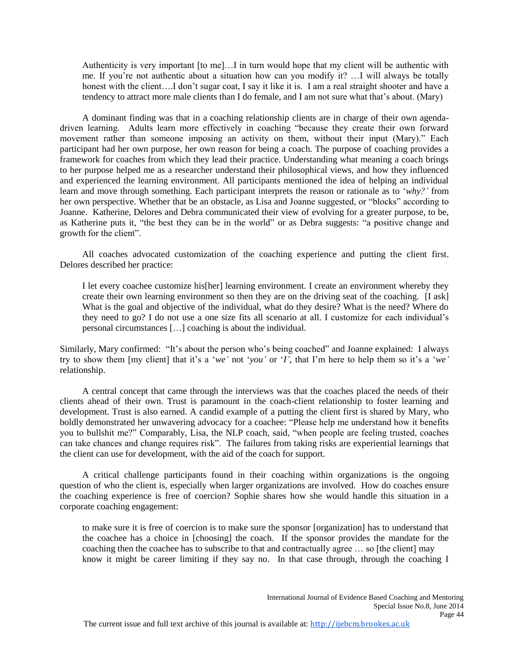Authenticity is very important [to me]…I in turn would hope that my client will be authentic with me. If you're not authentic about a situation how can you modify it? …I will always be totally honest with the client....I don't sugar coat, I say it like it is. I am a real straight shooter and have a tendency to attract more male clients than I do female, and I am not sure what that's about. (Mary)

A dominant finding was that in a coaching relationship clients are in charge of their own agendadriven learning. Adults learn more effectively in coaching "because they create their own forward movement rather than someone imposing an activity on them, without their input (Mary)." Each participant had her own purpose, her own reason for being a coach. The purpose of coaching provides a framework for coaches from which they lead their practice. Understanding what meaning a coach brings to her purpose helped me as a researcher understand their philosophical views, and how they influenced and experienced the learning environment. All participants mentioned the idea of helping an individual learn and move through something. Each participant interprets the reason or rationale as to '*why?'* from her own perspective. Whether that be an obstacle, as Lisa and Joanne suggested, or "blocks" according to Joanne. Katherine, Delores and Debra communicated their view of evolving for a greater purpose, to be, as Katherine puts it, "the best they can be in the world" or as Debra suggests: "a positive change and growth for the client".

All coaches advocated customization of the coaching experience and putting the client first. Delores described her practice:

I let every coachee customize his[her] learning environment. I create an environment whereby they create their own learning environment so then they are on the driving seat of the coaching. [I ask] What is the goal and objective of the individual, what do they desire? What is the need? Where do they need to go? I do not use a one size fits all scenario at all. I customize for each individual's personal circumstances […] coaching is about the individual.

Similarly, Mary confirmed: "It's about the person who's being coached" and Joanne explained: I always try to show them [my client] that it's a '*we'* not '*you'* or '*I'*, that I'm here to help them so it's a '*we'* relationship.

A central concept that came through the interviews was that the coaches placed the needs of their clients ahead of their own. Trust is paramount in the coach-client relationship to foster learning and development. Trust is also earned. A candid example of a putting the client first is shared by Mary, who boldly demonstrated her unwavering advocacy for a coachee: "Please help me understand how it benefits you to bullshit me?" Comparably, Lisa, the NLP coach, said, "when people are feeling trusted, coaches can take chances and change requires risk". The failures from taking risks are experiential learnings that the client can use for development, with the aid of the coach for support.

A critical challenge participants found in their coaching within organizations is the ongoing question of who the client is, especially when larger organizations are involved. How do coaches ensure the coaching experience is free of coercion? Sophie shares how she would handle this situation in a corporate coaching engagement:

to make sure it is free of coercion is to make sure the sponsor [organization] has to understand that the coachee has a choice in [choosing] the coach. If the sponsor provides the mandate for the coaching then the coachee has to subscribe to that and contractually agree … so [the client] may know it might be career limiting if they say no. In that case through, through the coaching I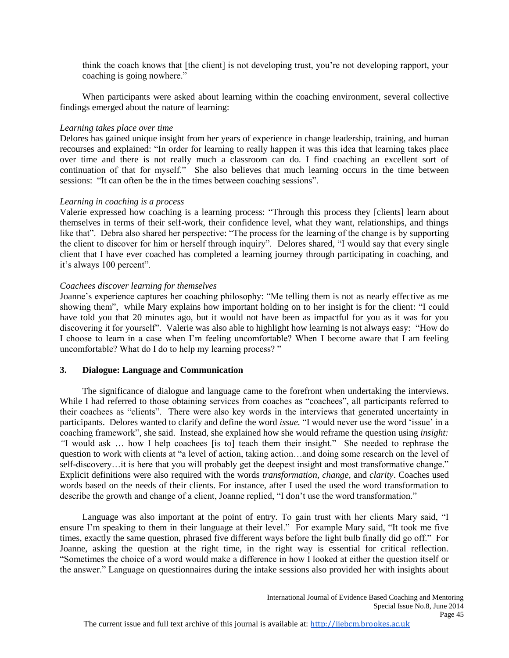think the coach knows that [the client] is not developing trust, you're not developing rapport, your coaching is going nowhere."

When participants were asked about learning within the coaching environment, several collective findings emerged about the nature of learning:

#### *Learning takes place over time*

Delores has gained unique insight from her years of experience in change leadership, training, and human recourses and explained: "In order for learning to really happen it was this idea that learning takes place over time and there is not really much a classroom can do. I find coaching an excellent sort of continuation of that for myself." She also believes that much learning occurs in the time between sessions: "It can often be the in the times between coaching sessions".

## *Learning in coaching is a process*

Valerie expressed how coaching is a learning process: "Through this process they [clients] learn about themselves in terms of their self-work, their confidence level, what they want, relationships, and things like that". Debra also shared her perspective: "The process for the learning of the change is by supporting the client to discover for him or herself through inquiry". Delores shared, "I would say that every single client that I have ever coached has completed a learning journey through participating in coaching, and it's always 100 percent".

## *Coachees discover learning for themselves*

Joanne's experience captures her coaching philosophy: "Me telling them is not as nearly effective as me showing them", while Mary explains how important holding on to her insight is for the client: "I could have told you that 20 minutes ago, but it would not have been as impactful for you as it was for you discovering it for yourself". Valerie was also able to highlight how learning is not always easy: "How do I choose to learn in a case when I'm feeling uncomfortable? When I become aware that I am feeling uncomfortable? What do I do to help my learning process? "

## **3. Dialogue: Language and Communication**

The significance of dialogue and language came to the forefront when undertaking the interviews. While I had referred to those obtaining services from coaches as "coachees", all participants referred to their coachees as "clients". There were also key words in the interviews that generated uncertainty in participants. Delores wanted to clarify and define the word *issue.* "I would never use the word 'issue' in a coaching framework", she said. Instead, she explained how she would reframe the question using *insight: "*I would ask … how I help coachees [is to] teach them their insight." She needed to rephrase the question to work with clients at "a level of action, taking action…and doing some research on the level of self-discovery…it is here that you will probably get the deepest insight and most transformative change." Explicit definitions were also required with the words *transformation, change*, and *clarity*. Coaches used words based on the needs of their clients. For instance, after I used the used the word transformation to describe the growth and change of a client, Joanne replied, "I don't use the word transformation."

Language was also important at the point of entry. To gain trust with her clients Mary said, "I ensure I'm speaking to them in their language at their level." For example Mary said, "It took me five times, exactly the same question, phrased five different ways before the light bulb finally did go off." For Joanne, asking the question at the right time, in the right way is essential for critical reflection. "Sometimes the choice of a word would make a difference in how I looked at either the question itself or the answer." Language on questionnaires during the intake sessions also provided her with insights about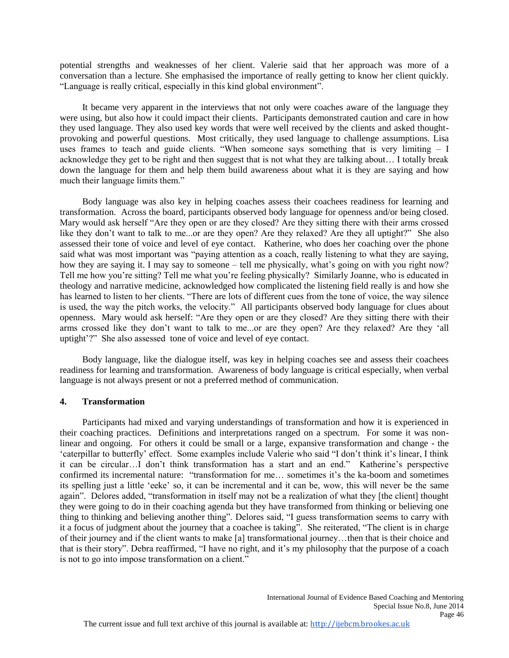potential strengths and weaknesses of her client. Valerie said that her approach was more of a conversation than a lecture. She emphasised the importance of really getting to know her client quickly. "Language is really critical, especially in this kind global environment".

It became very apparent in the interviews that not only were coaches aware of the language they were using, but also how it could impact their clients. Participants demonstrated caution and care in how they used language. They also used key words that were well received by the clients and asked thoughtprovoking and powerful questions. Most critically, they used language to challenge assumptions. Lisa uses frames to teach and guide clients. "When someone says something that is very limiting – I acknowledge they get to be right and then suggest that is not what they are talking about… I totally break down the language for them and help them build awareness about what it is they are saying and how much their language limits them."

Body language was also key in helping coaches assess their coachees readiness for learning and transformation. Across the board, participants observed body language for openness and/or being closed. Mary would ask herself "Are they open or are they closed? Are they sitting there with their arms crossed like they don't want to talk to me...or are they open? Are they relaxed? Are they all uptight?" She also assessed their tone of voice and level of eye contact. Katherine, who does her coaching over the phone said what was most important was "paying attention as a coach, really listening to what they are saying, how they are saying it. I may say to someone – tell me physically, what's going on with you right now? Tell me how you're sitting? Tell me what you're feeling physically? Similarly Joanne, who is educated in theology and narrative medicine, acknowledged how complicated the listening field really is and how she has learned to listen to her clients. "There are lots of different cues from the tone of voice, the way silence is used, the way the pitch works, the velocity." All participants observed body language for clues about openness. Mary would ask herself: "Are they open or are they closed? Are they sitting there with their arms crossed like they don't want to talk to me...or are they open? Are they relaxed? Are they 'all uptight'?" She also assessed tone of voice and level of eye contact.

Body language, like the dialogue itself, was key in helping coaches see and assess their coachees readiness for learning and transformation. Awareness of body language is critical especially, when verbal language is not always present or not a preferred method of communication.

## **4. Transformation**

Participants had mixed and varying understandings of transformation and how it is experienced in their coaching practices. Definitions and interpretations ranged on a spectrum. For some it was nonlinear and ongoing. For others it could be small or a large, expansive transformation and change - the 'caterpillar to butterfly' effect. Some examples include Valerie who said "I don't think it's linear, I think it can be circular…I don't think transformation has a start and an end." Katherine's perspective confirmed its incremental nature: "transformation for me… sometimes it's the ka-boom and sometimes its spelling just a little 'eeke' so, it can be incremental and it can be, wow, this will never be the same again". Delores added, "transformation in itself may not be a realization of what they [the client] thought they were going to do in their coaching agenda but they have transformed from thinking or believing one thing to thinking and believing another thing". Delores said, "I guess transformation seems to carry with it a focus of judgment about the journey that a coachee is taking". She reiterated, "The client is in charge of their journey and if the client wants to make [a] transformational journey…then that is their choice and that is their story". Debra reaffirmed, "I have no right, and it's my philosophy that the purpose of a coach is not to go into impose transformation on a client."

Page 46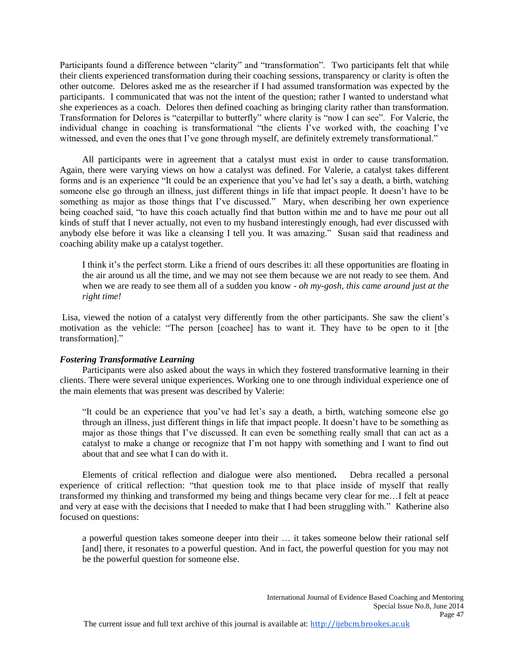Participants found a difference between "clarity" and "transformation".Two participants felt that while their clients experienced transformation during their coaching sessions, transparency or clarity is often the other outcome. Delores asked me as the researcher if I had assumed transformation was expected by the participants. I communicated that was not the intent of the question; rather I wanted to understand what she experiences as a coach. Delores then defined coaching as bringing clarity rather than transformation. Transformation for Delores is "caterpillar to butterfly" where clarity is "now I can see". For Valerie, the individual change in coaching is transformational "the clients I've worked with, the coaching I've witnessed, and even the ones that I've gone through myself, are definitely extremely transformational."

All participants were in agreement that a catalyst must exist in order to cause transformation. Again, there were varying views on how a catalyst was defined. For Valerie, a catalyst takes different forms and is an experience "It could be an experience that you've had let's say a death, a birth, watching someone else go through an illness, just different things in life that impact people. It doesn't have to be something as major as those things that I've discussed." Mary, when describing her own experience being coached said, "to have this coach actually find that button within me and to have me pour out all kinds of stuff that I never actually, not even to my husband interestingly enough, had ever discussed with anybody else before it was like a cleansing I tell you. It was amazing." Susan said that readiness and coaching ability make up a catalyst together.

I think it's the perfect storm. Like a friend of ours describes it: all these opportunities are floating in the air around us all the time, and we may not see them because we are not ready to see them. And when we are ready to see them all of a sudden you know - *oh my-gosh, this came around just at the right time!*

Lisa, viewed the notion of a catalyst very differently from the other participants. She saw the client's motivation as the vehicle: "The person [coachee] has to want it. They have to be open to it [the transformation]."

#### *Fostering Transformative Learning*

Participants were also asked about the ways in which they fostered transformative learning in their clients. There were several unique experiences. Working one to one through individual experience one of the main elements that was present was described by Valerie:

"It could be an experience that you've had let's say a death, a birth, watching someone else go through an illness, just different things in life that impact people. It doesn't have to be something as major as those things that I've discussed. It can even be something really small that can act as a catalyst to make a change or recognize that I'm not happy with something and I want to find out about that and see what I can do with it.

Elements of critical reflection and dialogue were also mentioned**.** Debra recalled a personal experience of critical reflection: "that question took me to that place inside of myself that really transformed my thinking and transformed my being and things became very clear for me…I felt at peace and very at ease with the decisions that I needed to make that I had been struggling with." Katherine also focused on questions:

a powerful question takes someone deeper into their … it takes someone below their rational self [and] there, it resonates to a powerful question. And in fact, the powerful question for you may not be the powerful question for someone else.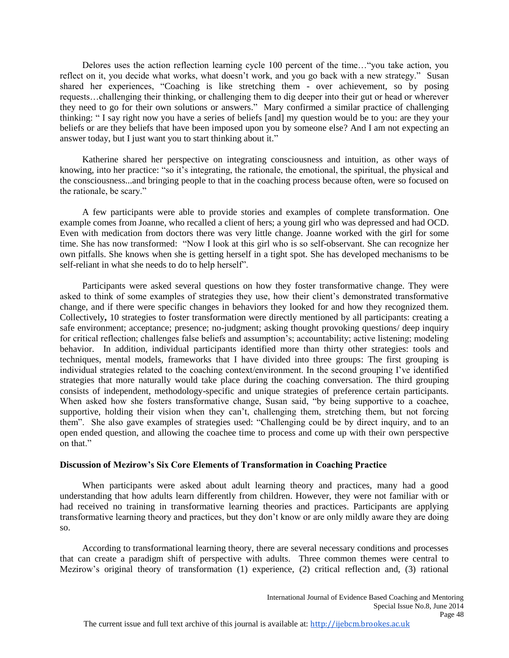Delores uses the action reflection learning cycle 100 percent of the time…"you take action, you reflect on it, you decide what works, what doesn't work, and you go back with a new strategy." Susan shared her experiences, "Coaching is like stretching them - over achievement, so by posing requests…challenging their thinking, or challenging them to dig deeper into their gut or head or wherever they need to go for their own solutions or answers." Mary confirmed a similar practice of challenging thinking: " I say right now you have a series of beliefs [and] my question would be to you: are they your beliefs or are they beliefs that have been imposed upon you by someone else? And I am not expecting an answer today, but I just want you to start thinking about it."

Katherine shared her perspective on integrating consciousness and intuition, as other ways of knowing, into her practice: "so it's integrating, the rationale, the emotional, the spiritual, the physical and the consciousness...and bringing people to that in the coaching process because often, were so focused on the rationale, be scary."

A few participants were able to provide stories and examples of complete transformation. One example comes from Joanne, who recalled a client of hers; a young girl who was depressed and had OCD. Even with medication from doctors there was very little change. Joanne worked with the girl for some time. She has now transformed: "Now I look at this girl who is so self-observant. She can recognize her own pitfalls. She knows when she is getting herself in a tight spot. She has developed mechanisms to be self-reliant in what she needs to do to help herself".

Participants were asked several questions on how they foster transformative change. They were asked to think of some examples of strategies they use, how their client's demonstrated transformative change, and if there were specific changes in behaviors they looked for and how they recognized them. Collectively**,** 10 strategies to foster transformation were directly mentioned by all participants: creating a safe environment; acceptance; presence; no-judgment; asking thought provoking questions/ deep inquiry for critical reflection; challenges false beliefs and assumption's; accountability; active listening; modeling behavior. In addition, individual participants identified more than thirty other strategies: tools and techniques, mental models, frameworks that I have divided into three groups: The first grouping is individual strategies related to the coaching context/environment. In the second grouping I've identified strategies that more naturally would take place during the coaching conversation. The third grouping consists of independent, methodology-specific and unique strategies of preference certain participants. When asked how she fosters transformative change, Susan said, "by being supportive to a coachee, supportive, holding their vision when they can't, challenging them, stretching them, but not forcing them". She also gave examples of strategies used: "Challenging could be by direct inquiry, and to an open ended question, and allowing the coachee time to process and come up with their own perspective on that."

## **Discussion of Mezirow's Six Core Elements of Transformation in Coaching Practice**

When participants were asked about adult learning theory and practices, many had a good understanding that how adults learn differently from children. However, they were not familiar with or had received no training in transformative learning theories and practices. Participants are applying transformative learning theory and practices, but they don't know or are only mildly aware they are doing so.

According to transformational learning theory, there are several necessary conditions and processes that can create a paradigm shift of perspective with adults. Three common themes were central to Mezirow's original theory of transformation (1) experience, (2) critical reflection and, (3) rational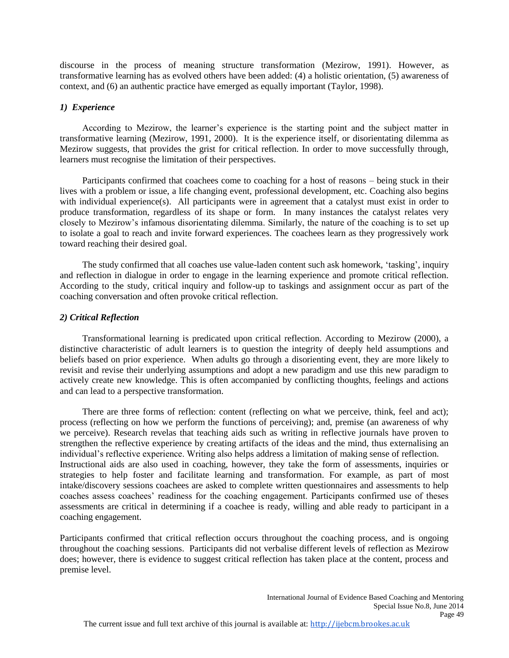discourse in the process of meaning structure transformation (Mezirow, 1991). However, as transformative learning has as evolved others have been added: (4) a holistic orientation, (5) awareness of context, and (6) an authentic practice have emerged as equally important (Taylor, 1998).

## *1) Experience*

According to Mezirow, the learner's experience is the starting point and the subject matter in transformative learning (Mezirow, 1991, 2000). It is the experience itself, or disorientating dilemma as Mezirow suggests, that provides the grist for critical reflection. In order to move successfully through, learners must recognise the limitation of their perspectives.

Participants confirmed that coachees come to coaching for a host of reasons – being stuck in their lives with a problem or issue, a life changing event, professional development, etc. Coaching also begins with individual experience(s). All participants were in agreement that a catalyst must exist in order to produce transformation, regardless of its shape or form. In many instances the catalyst relates very closely to Mezirow's infamous disorientating dilemma. Similarly, the nature of the coaching is to set up to isolate a goal to reach and invite forward experiences. The coachees learn as they progressively work toward reaching their desired goal.

The study confirmed that all coaches use value-laden content such ask homework, 'tasking', inquiry and reflection in dialogue in order to engage in the learning experience and promote critical reflection. According to the study, critical inquiry and follow-up to taskings and assignment occur as part of the coaching conversation and often provoke critical reflection.

## *2) Critical Reflection*

Transformational learning is predicated upon critical reflection. According to Mezirow (2000), a distinctive characteristic of adult learners is to question the integrity of deeply held assumptions and beliefs based on prior experience. When adults go through a disorienting event, they are more likely to revisit and revise their underlying assumptions and adopt a new paradigm and use this new paradigm to actively create new knowledge. This is often accompanied by conflicting thoughts, feelings and actions and can lead to a perspective transformation.

There are three forms of reflection: content (reflecting on what we perceive, think, feel and act); process (reflecting on how we perform the functions of perceiving); and, premise (an awareness of why we perceive). Research revelas that teaching aids such as writing in reflective journals have proven to strengthen the reflective experience by creating artifacts of the ideas and the mind, thus externalising an individual's reflective experience. Writing also helps address a limitation of making sense of reflection. Instructional aids are also used in coaching, however, they take the form of assessments, inquiries or strategies to help foster and facilitate learning and transformation. For example, as part of most intake/discovery sessions coachees are asked to complete written questionnaires and assessments to help coaches assess coachees' readiness for the coaching engagement. Participants confirmed use of theses assessments are critical in determining if a coachee is ready, willing and able ready to participant in a coaching engagement.

Participants confirmed that critical reflection occurs throughout the coaching process, and is ongoing throughout the coaching sessions. Participants did not verbalise different levels of reflection as Mezirow does; however, there is evidence to suggest critical reflection has taken place at the content, process and premise level.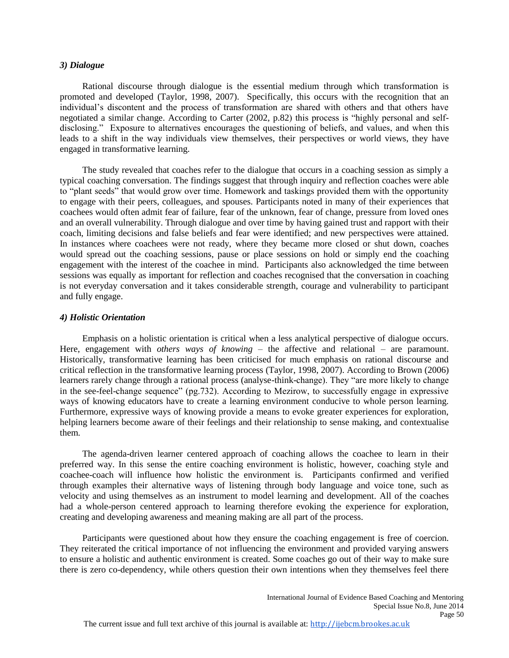#### *3) Dialogue*

Rational discourse through dialogue is the essential medium through which transformation is promoted and developed (Taylor, 1998, 2007). Specifically, this occurs with the recognition that an individual's discontent and the process of transformation are shared with others and that others have negotiated a similar change. According to Carter (2002, p.82) this process is "highly personal and selfdisclosing." Exposure to alternatives encourages the questioning of beliefs, and values, and when this leads to a shift in the way individuals view themselves, their perspectives or world views, they have engaged in transformative learning.

The study revealed that coaches refer to the dialogue that occurs in a coaching session as simply a typical coaching conversation. The findings suggest that through inquiry and reflection coaches were able to "plant seeds" that would grow over time. Homework and taskings provided them with the opportunity to engage with their peers, colleagues, and spouses. Participants noted in many of their experiences that coachees would often admit fear of failure, fear of the unknown, fear of change, pressure from loved ones and an overall vulnerability. Through dialogue and over time by having gained trust and rapport with their coach, limiting decisions and false beliefs and fear were identified; and new perspectives were attained. In instances where coachees were not ready, where they became more closed or shut down, coaches would spread out the coaching sessions, pause or place sessions on hold or simply end the coaching engagement with the interest of the coachee in mind. Participants also acknowledged the time between sessions was equally as important for reflection and coaches recognised that the conversation in coaching is not everyday conversation and it takes considerable strength, courage and vulnerability to participant and fully engage.

#### *4) Holistic Orientation*

Emphasis on a holistic orientation is critical when a less analytical perspective of dialogue occurs. Here, engagement with *others ways of knowing* – the affective and relational – are paramount. Historically, transformative learning has been criticised for much emphasis on rational discourse and critical reflection in the transformative learning process (Taylor, 1998, 2007). According to Brown (2006) learners rarely change through a rational process (analyse-think-change). They "are more likely to change in the see-feel-change sequence" (pg.732). According to Mezirow, to successfully engage in expressive ways of knowing educators have to create a learning environment conducive to whole person learning. Furthermore, expressive ways of knowing provide a means to evoke greater experiences for exploration, helping learners become aware of their feelings and their relationship to sense making, and contextualise them.

The agenda-driven learner centered approach of coaching allows the coachee to learn in their preferred way. In this sense the entire coaching environment is holistic, however, coaching style and coachee-coach will influence how holistic the environment is. Participants confirmed and verified through examples their alternative ways of listening through body language and voice tone, such as velocity and using themselves as an instrument to model learning and development. All of the coaches had a whole-person centered approach to learning therefore evoking the experience for exploration, creating and developing awareness and meaning making are all part of the process.

Participants were questioned about how they ensure the coaching engagement is free of coercion. They reiterated the critical importance of not influencing the environment and provided varying answers to ensure a holistic and authentic environment is created. Some coaches go out of their way to make sure there is zero co-dependency, while others question their own intentions when they themselves feel there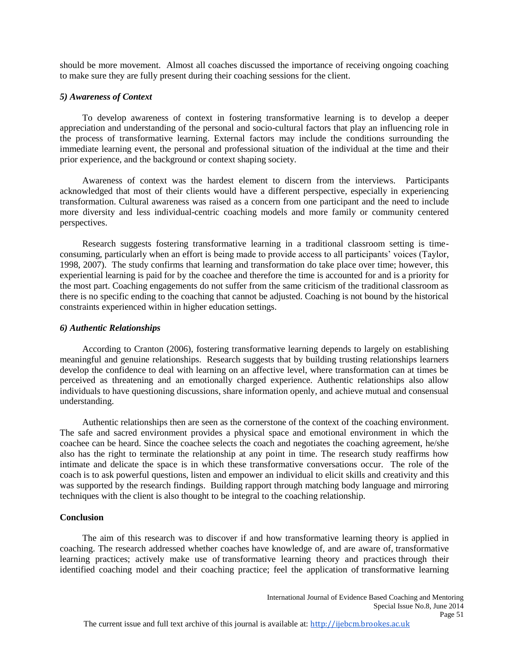should be more movement. Almost all coaches discussed the importance of receiving ongoing coaching to make sure they are fully present during their coaching sessions for the client.

#### *5) Awareness of Context*

To develop awareness of context in fostering transformative learning is to develop a deeper appreciation and understanding of the personal and socio-cultural factors that play an influencing role in the process of transformative learning. External factors may include the conditions surrounding the immediate learning event, the personal and professional situation of the individual at the time and their prior experience, and the background or context shaping society.

Awareness of context was the hardest element to discern from the interviews. Participants acknowledged that most of their clients would have a different perspective, especially in experiencing transformation. Cultural awareness was raised as a concern from one participant and the need to include more diversity and less individual-centric coaching models and more family or community centered perspectives.

Research suggests fostering transformative learning in a traditional classroom setting is timeconsuming, particularly when an effort is being made to provide access to all participants' voices (Taylor, 1998, 2007). The study confirms that learning and transformation do take place over time; however, this experiential learning is paid for by the coachee and therefore the time is accounted for and is a priority for the most part. Coaching engagements do not suffer from the same criticism of the traditional classroom as there is no specific ending to the coaching that cannot be adjusted. Coaching is not bound by the historical constraints experienced within in higher education settings.

#### *6) Authentic Relationships*

According to Cranton (2006), fostering transformative learning depends to largely on establishing meaningful and genuine relationships. Research suggests that by building trusting relationships learners develop the confidence to deal with learning on an affective level, where transformation can at times be perceived as threatening and an emotionally charged experience. Authentic relationships also allow individuals to have questioning discussions, share information openly, and achieve mutual and consensual understanding.

Authentic relationships then are seen as the cornerstone of the context of the coaching environment. The safe and sacred environment provides a physical space and emotional environment in which the coachee can be heard. Since the coachee selects the coach and negotiates the coaching agreement, he/she also has the right to terminate the relationship at any point in time. The research study reaffirms how intimate and delicate the space is in which these transformative conversations occur. The role of the coach is to ask powerful questions, listen and empower an individual to elicit skills and creativity and this was supported by the research findings. Building rapport through matching body language and mirroring techniques with the client is also thought to be integral to the coaching relationship.

#### **Conclusion**

The aim of this research was to discover if and how transformative learning theory is applied in coaching. The research addressed whether coaches have knowledge of, and are aware of, transformative learning practices; actively make use of transformative learning theory and practices through their identified coaching model and their coaching practice; feel the application of transformative learning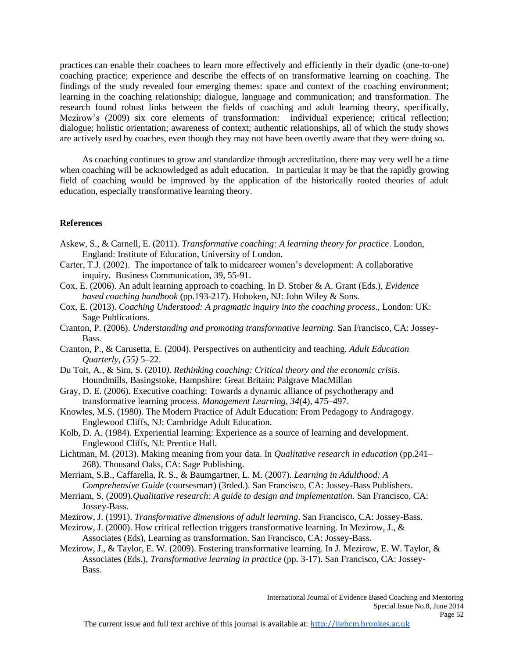practices can enable their coachees to learn more effectively and efficiently in their dyadic (one-to-one) coaching practice; experience and describe the effects of on transformative learning on coaching. The findings of the study revealed four emerging themes: space and context of the coaching environment; learning in the coaching relationship; dialogue, language and communication; and transformation. The research found robust links between the fields of coaching and adult learning theory, specifically, Mezirow's (2009) six core elements of transformation: individual experience; critical reflection; dialogue; holistic orientation; awareness of context; authentic relationships, all of which the study shows are actively used by coaches, even though they may not have been overtly aware that they were doing so.

As coaching continues to grow and standardize through accreditation, there may very well be a time when coaching will be acknowledged as adult education. In particular it may be that the rapidly growing field of coaching would be improved by the application of the historically rooted theories of adult education, especially transformative learning theory.

#### **References**

- Askew, S., & Carnell, E. (2011). *Transformative coaching: A learning theory for practice*. London, England: Institute of Education, University of London.
- Carter, T.J. (2002). The importance of talk to midcareer women's development: A collaborative inquiry. Business Communication, 39, 55-91.
- Cox, E. (2006). An adult learning approach to coaching. In D. Stober & A. Grant (Eds.), *Evidence based coaching handbook* (pp.193-217). Hoboken, NJ: John Wiley & Sons.
- Cox, E. (2013). *Coaching Understood: A pragmatic inquiry into the coaching process*., London: UK: Sage Publications.
- Cranton, P. (2006). *Understanding and promoting transformative learning.* San Francisco, CA: Jossey-Bass.
- Cranton, P., & Carusetta, E. (2004). Perspectives on authenticity and teaching. *Adult Education Quarterly, (55)* 5–22.
- Du Toit, A., & Sim, S. (2010*). Rethinking coaching: Critical theory and the economic crisis*. Houndmills, Basingstoke, Hampshire: Great Britain: Palgrave MacMillan
- Gray, D. E. (2006). Executive coaching: Towards a dynamic alliance of psychotherapy and transformative learning process. *Management Learning, 34*(4), 475–497.
- Knowles, M.S. (1980). The Modern Practice of Adult Education: From Pedagogy to Andragogy. Englewood Cliffs, NJ: Cambridge Adult Education.
- Kolb, D. A. (1984). Experiential learning: Experience as a source of learning and development. Englewood Cliffs, NJ: Prentice Hall.
- Lichtman, M. (2013). Making meaning from your data. In *Qualitative research in education* (pp.241– 268). Thousand Oaks, CA: Sage Publishing.
- Merriam, S.B., Caffarella, R. S., & Baumgartner, L. M. (2007). *Learning in Adulthood: A Comprehensive Guide* (coursesmart) (3rded.). San Francisco, CA: Jossey-Bass Publishers.
- Merriam, S. (2009).*Qualitative research: A guide to design and implementation*. San Francisco, CA: Jossey-Bass.
- Mezirow, J. (1991). *Transformative dimensions of adult learning*. San Francisco, CA: Jossey-Bass.
- Mezirow, J. (2000). How critical reflection triggers transformative learning. In Mezirow, J., & Associates (Eds), Learning as transformation. San Francisco, CA: Jossey-Bass.
- Mezirow, J., & Taylor, E. W. (2009). Fostering transformative learning. In J. Mezirow, E. W. Taylor, & Associates (Eds.), *Transformative learning in practice* (pp. 3-17). San Francisco, CA: Jossey-Bass.